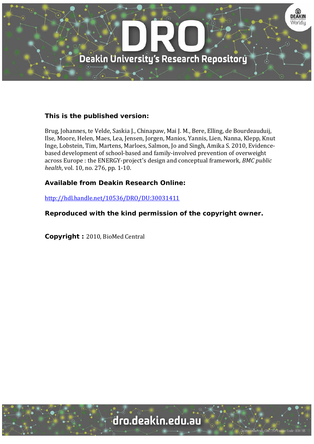

# **This is the published version:**

Brug, Johannes, te Velde, Saskia J., Chinapaw, Mai J. M., Bere, Elling, de Bourdeauduij, Ilse, Moore, Helen, Maes, Lea, Jensen, Jorgen, Manios, Yannis, Lien, Nanna, Klepp, Knut Inge, Lobstein, Tim, Martens, Marloes, Salmon, Jo and Singh, Amika S. 2010, Evidencebased development of school-based and family-involved prevention of overweight across Europe : the ENERGY-project's design and conceptual framework, *BMC public health*, vol. 10, no. 276, pp. 1-10.

# **Available from Deakin Research Online:**

http://hdl.handle.net/10536/DRO/DU:30031411

**Reproduced with the kind permission of the copyright owner.** 

**Copyright : 2010, BioMed Central** 

University CRICOS Provider Code: 00113B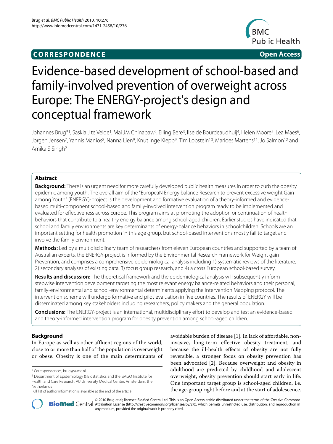# **CORRESPONDENCE Open Access**



# Evidence-based development of school-based and family-involved prevention of overweight across Europe: The ENERGY-project's design and conceptual framework

Johannes Brug<sup>\*1</sup>, Saskia J te Velde<sup>1</sup>, Mai JM Chinapaw<sup>2</sup>, Elling Bere<sup>3</sup>, Ilse de Bourdeaudhuij<sup>4</sup>, Helen Moore<sup>5</sup>, Lea Maes<sup>6</sup>, Jorgen Jensen7, Yannis Manios8, Nanna Lien9, Knut Inge Klepp9, Tim Lobstein10, Marloes Martens11, Jo Salmon12 and Amika S Singh2

# **Abstract**

**Background:** There is an urgent need for more carefully developed public health measures in order to curb the obesity epidemic among youth. The overall aim of the "EuropeaN Energy balance Research to prevent excessive weight Gain among Youth" (ENERGY)-project is the development and formative evaluation of a theory-informed and evidencebased multi-component school-based and family-involved intervention program ready to be implemented and evaluated for effectiveness across Europe. This program aims at promoting the adoption or continuation of health behaviors that contribute to a healthy energy balance among school-aged children. Earlier studies have indicated that school and family environments are key determinants of energy-balance behaviors in schoolchildren. Schools are an important setting for health promotion in this age group, but school-based interventions mostly fail to target and involve the family environment.

**Methods:** Led by a multidisciplinary team of researchers from eleven European countries and supported by a team of Australian experts, the ENERGY-project is informed by the Environmental Research Framework for Weight gain Prevention, and comprises a comprehensive epidemiological analysis including 1) systematic reviews of the literature, 2) secondary analyses of existing data, 3) focus group research, and 4) a cross European school-based survey.

**Results and discussion:** The theoretical framework and the epidemiological analysis will subsequently inform stepwise intervention development targeting the most relevant energy balance-related behaviors and their personal, family-environmental and school-environmental determinants applying the Intervention Mapping protocol. The intervention scheme will undergo formative and pilot evaluation in five countries. The results of ENERGY will be disseminated among key stakeholders including researchers, policy makers and the general population.

**Conclusions:** The ENERGY-project is an international, multidisciplinary effort to develop and test an evidence-based and theory-informed intervention program for obesity prevention among school-aged children.

# **Background**

In Europe as well as other affluent regions of the world, close to or more than half of the population is overweight or obese. Obesity is one of the main determinants of avoidable burden of disease [[1](#page-10-0)]. In lack of affordable, noninvasive, long-term effective obesity treatment, and because the ill-health effects of obesity are not fully reversible, a stronger focus on obesity prevention has been advocated [\[2](#page-10-1)]. Because overweight and obesity in adulthood are predicted by childhood and adolescent overweight, obesity prevention should start early in life. One important target group is school-aged children, i.e. the age-group right before and at the start of adolescence.



2010 Brug et al; licensee [BioMed](http://www.biomedcentral.com/) Central Ltd. This is an Open Access article distributed under the terms of the Creative Commons (http://creativecommons.org/licenses/by/2.0), which permits unrestricted use, distribution, a any medium, provided the original work is properly cited.

<sup>\*</sup> Correspondence: j.brug@vumc.nl

<sup>1</sup> Department of Epidemiology & Biostatistics and the EMGO Institute for Health and Care Research, VU University Medical Center, Amsterdam, the Netherlands

Full list of author information is available at the end of the article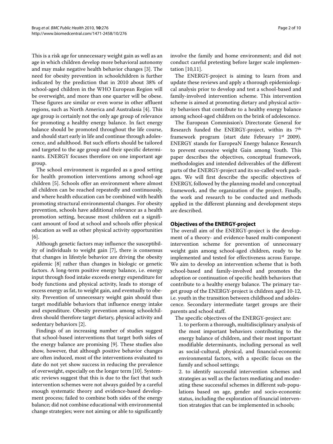This is a risk age for unnecessary weight gain as well as an age in which children develop more behavioral autonomy and may make negative health behavior changes [\[3](#page-10-2)]. The need for obesity prevention in schoolchildren is further indicated by the prediction that in 2010 about 38% of school-aged children in the WHO European Region will be overweight, and more than one quarter will be obese. These figures are similar or even worse in other affluent regions, such as North America and Australasia [\[4](#page-10-3)]. This age group is certainly not the only age group of relevance for promoting a healthy energy balance. In fact energy balance should be promoted throughout the life course, and should start early in life and continue through adolescence, and adulthood. But such efforts should be tailored and targeted to the age group and their specific determinants. ENERGY focuses therefore on one important age group.

The school environment is regarded as a good setting for health promotion interventions among school-age children [[5\]](#page-10-4). Schools offer an environment where almost all children can be reached repeatedly and continuously, and where health education can be combined with health promoting structural environmental changes. For obesity prevention, schools have additional relevance as a health promotion setting, because most children eat a significant amount of food at school and schools offer physical education as well as other physical activity opportunities [[6\]](#page-10-5).

Although genetic factors may influence the susceptibility of individuals to weight gain [\[7](#page-10-6)], there is consensus that changes in lifestyle behavior are driving the obesity epidemic [[8\]](#page-10-7) rather than changes in biologic or genetic factors. A long-term positive energy balance, i.e. energy input through food intake exceeds energy expenditure for body functions and physical activity, leads to storage of excess energy as fat, to weight gain, and eventually to obesity. Prevention of unnecessary weight gain should thus target modifiable behaviors that influence energy intake and expenditure. Obesity prevention among schoolchildren should therefore target dietary, physical activity and sedentary behaviors [[2\]](#page-10-1).

Findings of an increasing number of studies suggest that school-based interventions that target both sides of the energy balance are promising [\[9](#page-10-8)]. These studies also show, however, that although positive behavior changes are often induced, most of the interventions evaluated to date do not yet show success in reducing the prevalence of overweight, especially on the longer term [\[10](#page-10-9)]. Systematic reviews suggest that this is due to the fact that such intervention schemes were not always guided by a careful enough systematic theory and evidence-based development process; failed to combine both sides of the energy balance; did not combine educational with environmental change strategies; were not aiming or able to significantly

involve the family and home environment; and did not conduct careful pretesting before larger scale implementation [\[10](#page-10-9)[,11](#page-10-10)].

The ENERGY-project is aiming to learn from and update these reviews and apply a thorough epidemiological analysis prior to develop and test a school-based and family-involved intervention scheme. This intervention scheme is aimed at promoting dietary and physical activity behaviors that contribute to a healthy energy balance among school-aged children on the brink of adolescence.

The European Commission's Directorate General for Research funded the ENERGY-project, within its 7<sup>th</sup> framework program (start date February 1st 2009). ENERGY stands for EuropeaN Energy balance Research to prevent excessive weight Gain among Youth. This paper describes the objectives, conceptual framework, methodologies and intended deliverables of the different parts of the ENERGY-project and its so-called work packages. We will first describe the specific objectives of ENERGY, followed by the planning model and conceptual framework, and the organization of the project. Finally, the work and research to be conducted and methods applied in the different planning and development steps are described.

## **Objectives of the ENERGY-project**

The overall aim of the ENERGY-project is the development of a theory- and evidence-based multi-component intervention scheme for prevention of unnecessary weight gain among school-aged children, ready to be implemented and tested for effectiveness across Europe. We aim to develop an intervention scheme that is both school-based and family-involved and promotes the adoption or continuation of specific health behaviors that contribute to a healthy energy balance. The primary target group of the ENERGY-project is children aged 10-12, i.e. youth in the transition between childhood and adolescence. Secondary intermediate target groups are their parents and school staff.

The specific objectives of the ENERGY-project are:

1. to perform a thorough, multidisciplinary analysis of the most important behaviors contributing to the energy balance of children, and their most important modifiable determinants, including personal as well as social-cultural, physical, and financial-economic environmental factors, with a specific focus on the family and school settings;

2. to identify successful intervention schemes and strategies as well as the factors mediating and moderating these successful schemes in different sub-populations based on age, gender and socio-economic status, including the exploration of financial intervention strategies that can be implemented in schools;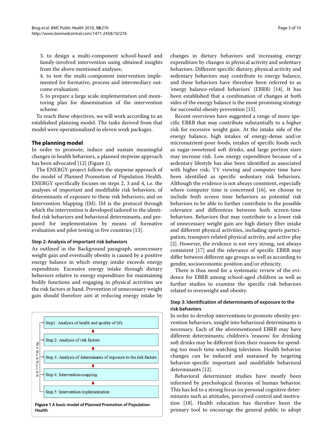3. to design a multi-component school-based and family-involved intervention using obtained insights from the above mentioned analyses;

4. to test the multi-component intervention implemented for formative, process and intermediary outcome evaluation;

5. to prepare a large scale implementation and monitoring plan for dissemination of the intervention scheme.

To reach these objectives, we will work according to an established planning model. The tasks derived from that model were operationalized in eleven work packages.

## **The planning model**

In order to promote, induce and sustain meaningful changes in health behaviors, a planned stepwise approach has been advocated [[12\]](#page-10-11) (Figure [1](#page-3-0)).

The ENERGY-project follows the stepwise approach of the model of Planned Promotion of Population Health. ENERGY specifically focuses on steps 2, 3 and 4, i.e. the analyses of important and modifiable risk behaviors; of determinants of exposure to these risk behaviors; and on Intervention Mapping (IM). IM is the protocol through which the intervention is developed tailored to the identified risk behaviors and behavioral determinants, and prepared for implementation by means of formative evaluation and pilot testing in five countries [\[13\]](#page-10-12).

### **Step 2: Analysis of important risk behaviors**

As outlined in the Background paragraph, unnecessary weight gain and eventually obesity is caused by a positive energy balance in which energy intake exceeds energy expenditure. Excessive energy intake through dietary behaviors relative to energy expenditure for maintaining bodily functions and engaging in physical activities are the risk factors at hand. Prevention of unnecessary weight gain should therefore aim at reducing energy intake by

<span id="page-3-0"></span>

**Figure 1 A basic model of Planned Promotion of Population Health**.

changes in dietary behaviors and increasing energy expenditure by changes in physical activity and sedentary behaviors. Different specific dietary, physical activity and sedentary behaviors may contribute to energy balance, and these behaviors have therefore been referred to as 'energy balance-related behaviors' (EBRB) [\[14](#page-10-13)]. It has been established that a combination of changes at both sides of the energy balance is the most promising strategy for successful obesity prevention [\[15](#page-10-14)].

Recent overviews have suggested a range of more specific EBRB that may contribute substantially to a higher risk for excessive weight gain. At the intake side of the energy balance, high intakes of energy-dense and/or micronutrient-poor foods, intakes of specific foods such as sugar-sweetened soft drinks, and large portion sizes may increase risk. Low energy expenditure because of a sedentary lifestyle has also been identified as associated with higher risk; TV viewing and computer time have been identified as specific sedentary risk behaviors. Although the evidence is not always consistent, especially where computer time is concerned [\[16\]](#page-10-15), we choose to include both screen time behaviors as potential risk behaviors to be able to further contribute to the possible relevance and differences between both screen-time behaviors. Behaviors that may contribute to a lower risk of unnecessary weight gain are high dietary fiber intake and different physical activities, including sports participation, transport-related physical activity, and active play [[2\]](#page-10-1). However, the evidence is not very strong, not always consistent [\[17\]](#page-10-16) and the relevance of specific EBRB may differ between different age groups as well as according to gender, socioeconomic position and/or ethnicity.

There is thus need for a systematic review of the evidence for EBRB among school-aged children as well as further studies to examine the specific risk behaviors related to overweight and obesity.

# **Step 3: Identification of determinants of exposure to the risk behaviors**

In order to develop interventions to promote obesity prevention behaviors, insight into behavioral determinants is necessary. Each of the aforementioned EBRB may have different determinants; children's 'reasons' for drinking soft drinks may be different from their reasons for spending too much time watching television. Health behavior changes can be induced and sustained by targeting behavior-specific important and modifiable behavioral determinants [[12\]](#page-10-11).

Behavioral determinant studies have mostly been informed by psychological theories of human behavior. This has led to a strong focus on personal cognitive determinants such as attitudes, perceived control and motivation [\[18\]](#page-10-17). Health education has therefore been the primary tool to encourage the general public to adopt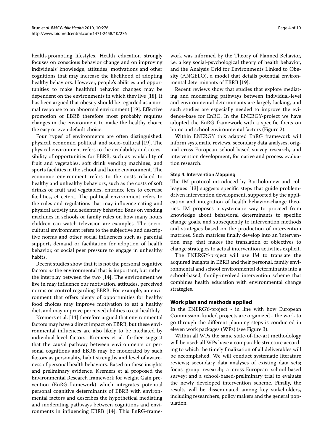health-promoting lifestyles. Health education strongly focuses on conscious behavior change and on improving individuals' knowledge, attitudes, motivations and other cognitions that may increase the likelihood of adopting healthy behaviors. However, people's abilities and opportunities to make healthful behavior changes may be dependent on the environments in which they live [[18](#page-10-17)]. It has been argued that obesity should be regarded as a normal response to an abnormal environment [\[19](#page-10-18)]. Effective promotion of EBRB therefore most probably requires changes in the environment to make the healthy choice the easy or even default choice.

Four 'types' of environments are often distinguished: physical, economic, political, and socio-cultural [[19](#page-10-18)]. The physical environment refers to the availability and accessibility of opportunities for EBRB, such as availability of fruit and vegetables, soft drink vending machines, and sports facilities in the school and home environment. The economic environment refers to the costs related to healthy and unhealthy behaviors, such as the costs of soft drinks or fruit and vegetables, entrance fees to exercise facilities, et cetera. The political environment refers to the rules and regulations that may influence eating and physical activity and sedentary behavior. Bans on vending machines in schools or family rules on how many hours children can watch television are examples. The sociocultural environment refers to the subjective and descriptive norms and other social influences such as parental support, demand or facilitation for adoption of health behavior, or social peer pressure to engage in unhealthy habits.

Recent studies show that it is not the personal cognitive factors *or* the environmental that is important, but rather the interplay between the two [\[14](#page-10-13)]. The environment we live in may influence our motivation, attitudes, perceived norms or control regarding EBRB. For example, an environment that offers plenty of opportunities for healthy food choices may improve motivation to eat a healthy diet, and may improve perceived abilities to eat healthily.

Kremers et al. [[14\]](#page-10-13) therefore argued that environmental factors may have a direct impact on EBRB, but these environmental influences are also likely to be mediated by individual-level factors. Kremers et al. further suggest that the causal pathway between environments or personal cognitions and EBRB may be moderated by such factors as personality, habit strengths and level of awareness of personal health behaviors. Based on these insights and preliminary evidence, Kremers et al proposed the Environmental Research framework for weight Gain prevention (EnRG-framework) which integrates potential personal cognitive determinants of EBRB with environmental factors and describes the hypothetical mediating and moderating pathways between cognitions and environments in influencing EBRB [[14](#page-10-13)]. This EnRG-framework was informed by the Theory of Planned Behavior, i.e. a key social-psychological theory of health behavior, and the Analysis Grid for Environments Linked to Obesity (ANGELO), a model that details potential environmental determinants of EBRB [[19\]](#page-10-18).

Recent reviews show that studies that explore mediating and moderating pathways between individual-level and environmental determinants are largely lacking, and such studies are especially needed to improve the evidence-base for EnRG. In the ENERGY-project we have adopted the EnRG framework with a specific focus on home and school environmental factors (Figure [2](#page-5-0)).

Within ENERGY this adapted EnRG framework will inform systematic reviews, secondary data analyses, original cross-European school-based survey research, and intervention development, formative and process evaluation research.

#### **Step 4: Intervention Mapping**

The IM protocol introduced by Bartholomew and colleagues [[13](#page-10-12)] suggests specific steps that guide problemdriven intervention development, supported by the application and integration of health behavior-change theories. IM proposes a systematic way to proceed from knowledge about behavioral determinants to specific change goals, and subsequently to intervention methods and strategies based on the production of intervention matrices. Such matrices finally develop into an 'intervention map' that makes the translation of objectives to change strategies to actual intervention activities explicit.

The ENERGY-project will use IM to translate the acquired insights in EBRB and their personal, family environmental and school environmental determinants into a school-based, family-involved intervention scheme that combines health education with environmental change strategies.

#### **Work plan and methods applied**

In the ENERGY-project - in line with how European Commission-funded projects are organized - the work to go through the different planning steps is conducted in eleven work packages (WPs) (see Figure [3\)](#page-6-0).

Within all WPs the same state-of-the-art methodology will be used: all WPs have a comparable structure according to which the timely finalization of all deliverables will be accomplished. We will conduct systematic literature reviews; secondary data analyses of existing data sets; focus group research; a cross-European school-based survey; and a school-based-preliminary trial to evaluate the newly developed intervention scheme. Finally, the results will be disseminated among key stakeholders, including researchers, policy makers and the general population.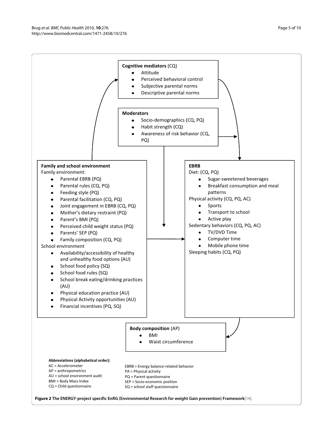<span id="page-5-0"></span>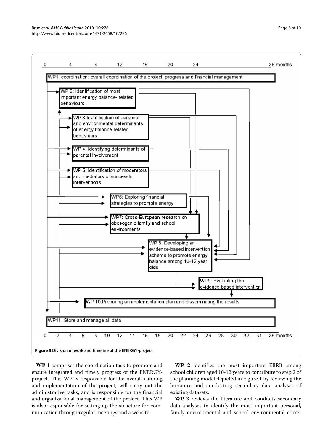<span id="page-6-0"></span>

**WP 1** comprises the coordination task to promote and ensure integrated and timely progress of the ENERGYproject. This WP is responsible for the overall running and implementation of the project, will carry out the administrative tasks, and is responsible for the financial and organizational management of the project. This WP is also responsible for setting up the structure for communication through regular meetings and a website.

**WP 2** identifies the most important EBRB among school children aged 10-12 years to contribute to step 2 of the planning model depicted in Figure [1](#page-3-0) by reviewing the literature and conducting secondary data analyses of existing datasets.

**WP 3** reviews the literature and conducts secondary data analyses to identify the most important personal, family environmental and school environmental corre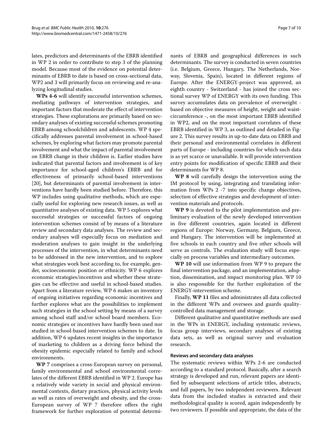lates, predictors and determinants of the EBRB identified in WP 2 in order to contribute to step 3 of the planning model. Because most of the evidence on potential determinants of EBRB to date is based on cross-sectional data, WP2 and 3 will primarily focus on reviewing and re-analyzing longitudinal studies.

**WPs 4-6** will identify successful intervention schemes, mediating pathways of intervention strategies, and important factors that moderate the effect of intervention strategies. These explorations are primarily based on secondary analyses of existing successful schemes promoting EBRB among schoolchildren and adolescents. WP 4 specifically addresses parental involvement in school-based schemes, by exploring what factors may promote parental involvement and what the impact of parental involvement on EBRB change in their children is. Earlier studies have indicated that parental factors and involvement is of key importance for school-aged children's EBRB and for effectiveness of primarily school-based interventions [[20\]](#page-10-19), but determinants of parental involvement in interventions have hardly been studied before. Therefore, this WP includes using qualitative methods, which are especially useful for exploring new research issues, as well as quantitative analyses of existing data. WP 5 explores what successful strategies or successful factors of ongoing intervention schemes consist of by means of a literature review and secondary data analyses. The review and secondary analyses will especially focus on mediation and moderation analyses to gain insight in the underlying processes of the intervention, in what determinants need to be addressed in the new intervention, and to explore what strategies work best according to, for example, gender, socioeconomic position or ethnicity. WP 6 explores economic strategies/incentives and whether these strategies can be effective and useful in school-based studies. Apart from a literature review, WP 6 makes an inventory of ongoing initiatives regarding economic incentives and further explores what are the possibilities to implement such strategies in the school setting by means of a survey among school staff and/or school board members. Economic strategies or incentives have hardly been used nor studied in school-based intervention schemes to date. In addition, WP 6 updates recent insights in the importance of marketing to children as a driving force behind the obesity epidemic especially related to family and school environments.

**WP 7** comprises a cross-European survey on personal, family environmental and school environmental correlates of the different EBRB identified in WP 2. Europe has a relatively wide variety in social and physical environmental contexts, dietary practices, physical activity levels as well as rates of overweight and obesity, and the cross-European survey of WP 7 therefore offers the right framework for further exploration of potential determinants of EBRB and geographical differences in such determinants. The survey is conducted in seven countries (i.e. Belgium, Greece, Hungary, The Netherlands, Norway, Slovenia, Spain), located in different regions of Europe. After the ENERGY-project was approved, an eighth country - Switzerland - has joined the cross sectional survey WP of ENERGY with its own funding. This survey accumulates data on prevalence of overweight based on objective measures of height, weight and waistcircumference -, on the most important EBRB identified in WP2, and on the most important correlates of these EBRB identified in WP 3, as outlined and detailed in Figure [2](#page-5-0). This survey results in up-to-date data on EBRB and their personal and environmental correlates in different parts of Europe - including countries for which such data is as yet scarce or unavailable. It will provide intervention entry points for modification of specific EBRB and their determinants for WP 8.

**WP 8** will carefully design the intervention using the IM protocol by using, integrating and translating information from WPs 2 -7 into specific change objectives, selection of effective strategies and development of intervention materials and protocols.

**WP 9** is devoted to the pilot implementation and preliminary evaluation of the newly developed intervention in five different countries, again located in different regions of Europe: Norway, Germany, Belgium, Greece, and Hungary. The intervention will be implemented at five schools in each country and five other schools will serve as controls. The evaluation study will focus especially on process variables and intermediary outcomes.

**WP 10** will use information from WP 9 to prepare the final intervention package, and an implementation, adoption, dissemination, and impact monitoring plan. WP 10 is also responsible for the further exploitation of the ENERGY-intervention scheme.

Finally, **WP 11** files and administrates all data collected in the different WPs and oversees and guards qualitycontrolled data management and storage.

Different qualitative and quantitative methods are used in the WPs in ENERGY, including systematic reviews, focus group interviews, secondary analyses of existing data sets, as well as original survey and evaluation research.

#### **Reviews and secondary data analyses**

The systematic reviews within WPs 2-6 are conducted according to a standard protocol. Basically, after a search strategy is developed and run, relevant papers are identified by subsequent selections of article titles, abstracts, and full papers, by two independent reviewers. Relevant data from the included studies is extracted and their methodological quality is scored, again independently by two reviewers. If possible and appropriate, the data of the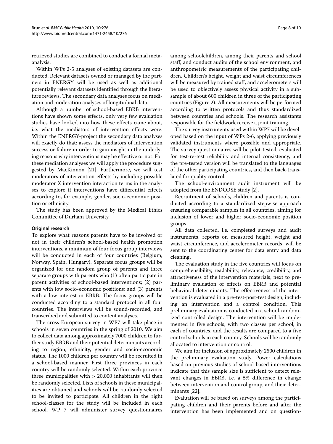retrieved studies are combined to conduct a formal metaanalysis.

Within WPs 2-5 analyses of existing datasets are conducted. Relevant datasets owned or managed by the partners in ENERGY will be used as well as additional potentially relevant datasets identified through the literature reviews. The secondary data analyses focus on mediation and moderation analyses of longitudinal data.

Although a number of school-based EBRB interventions have shown some effects, only very few evaluation studies have looked into how these effects came about, i.e. what the mediators of intervention effects were. Within the ENERGY-project the secondary data analyses will exactly do that: assess the mediators of intervention success or failure in order to gain insight in the underlying reasons why interventions may be effective or not. For these mediation analyses we will apply the procedure suggested by MacKinnon [\[21](#page-10-20)]. Furthermore, we will test moderators of intervention effects by including possible moderator X intervention interaction terms in the analyses to explore if interventions have differential effects according to, for example, gender, socio-economic position or ethnicity.

The study has been approved by the Medical Ethics Committee of Durham University.

#### **Original research**

To explore what reasons parents have to be involved or not in their children's school-based health promotion interventions, a minimum of four focus group interviews will be conducted in each of four countries (Belgium, Norway, Spain, Hungary). Separate focus groups will be organized for one random group of parents and three separate groups with parents who (1) often participate in parent activities of school-based interventions; (2) parents with low socio-economic positions; and (3) parents with a low interest in EBRB. The focus groups will be conducted according to a standard protocol in all four countries. The interviews will be sound-recorded, and transcribed and submitted to content analyses.

The cross-European survey in WP7 will take place in schools in seven countries in the spring of 2010. We aim to collect data among approximately 7000 children to further study EBRB and their potential determinants according to region, ethnicity, gender and socio-economic status. The 1000 children per country will be recruited in a school-based manner. First three provinces in each country will be randomly selected. Within each province three municipalities with > 20,000 inhabitants will then be randomly selected. Lists of schools in these municipalities are obtained and schools will be randomly selected to be invited to participate. All children in the right school-classes for the study will be included in each school. WP 7 will administer survey questionnaires among schoolchildren, among their parents and school staff, and conduct audits of the school environment, and anthropometric measurements of the participating children. Children's height, weight and waist circumferences will be measured by trained staff, and accelerometers will be used to objectively assess physical activity in a subsample of about 600 children in three of the participating countries (Figure [2\)](#page-5-0). All measurements will be performed according to written protocols and thus standardized between countries and schools. The research assistants responsible for the fieldwork receive a joint training.

The survey instruments used within WP7 will be developed based on the input of WPs 2-6, applying previously validated instruments where possible and appropriate. The survey questionnaires will be pilot-tested, evaluated for test-re-test reliability and internal consistency, and the pre-tested version will be translated to the languages of the other participating countries, and then back-translated for quality control.

The school-environment audit instrument will be adopted from the ENDORSE study [[2\]](#page-10-1).

Recruitment of schools, children and parents is conducted according to a standardized stepwise approach ensuring comparable samples in all countries, aiming for inclusion of lower and higher socio-economic position groups.

All data collected, i.e. completed surveys and audit instruments, reports on measured height, weight and waist circumference, and accelerometer records, will be sent to the coordinating center for data entry and data cleaning.

The evaluation study in the five countries will focus on comprehensibility, readability, relevance, credibility, and attractiveness of the intervention materials, next to preliminary evaluation of effects on EBRB and potential behavioral determinants. The effectiveness of the intervention is evaluated in a pre-test-post-test design, including an intervention and a control condition. This preliminary evaluation is conducted in a school-randomized controlled design. The intervention will be implemented in five schools, with two classes per school, in each of countries, and the results are compared to a five control schools in each country. Schools will be randomly allocated to intervention or control.

We aim for inclusion of approximately 2500 children in the preliminary evaluation study. Power calculations based on previous studies of school-based interventions indicate that this sample size is sufficient to detect relevant changes in EBRB, i.e. a 5% difference in change between intervention and control group, and their determinants [[22](#page-10-21)].

Evaluation will be based on surveys among the participating children and their parents before and after the intervention has been implemented and on question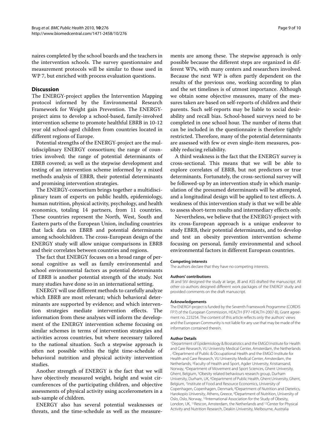naires completed by the school boards and the teachers in the intervention schools. The survey questionnaire and measurement protocols will be similar to those used in WP 7, but enriched with process evaluation questions.

## **Discussion**

The ENERGY-project applies the Intervention Mapping protocol informed by the Environmental Research Framework for Weight gain Prevention. The ENERGYproject aims to develop a school-based, family-involved intervention scheme to promote healthful EBRB in 10-12 year old school-aged children from countries located in different regions of Europe.

Potential strengths of the ENERGY-project are the multidisciplinary ENERGY consortium; the range of countries involved; the range of potential determinants of EBRB covered; as well as the stepwise development and testing of an intervention scheme informed by a mixed methods analysis of EBRB, their potential determinants and promising intervention strategies.

The ENERGY-consortium brings together a multidisciplinary team of experts on public health, epidemiology, human nutrition, physical activity, psychology, and health economics, totaling 14 partners, from 11 countries. These countries represent the North, West, South and Eastern parts of the European Union, including countries that lack data on EBRB and potential determinants among schoolchildren. The cross-European design of the ENERGY study will allow unique comparisons in EBRB and their correlates between countries and regions.

The fact that ENERGY focuses on a broad range of personal cognitive as well as family environmental and school environmental factors as potential determinants of EBRB is another potential strength of the study. Not many studies have done so in an international setting.

ENERGY will use different methods to carefully analyze which EBRB are most relevant; which behavioral determinants are supported by evidence; and which intervention strategies mediate intervention effects. The information from these analyses will inform the development of the ENERGY intervention scheme focusing on similar schemes in terms of intervention strategies and activities across countries, but where necessary tailored to the national situation. Such a stepwise approach is often not possible within the tight time-schedule of behavioral nutrition and physical activity intervention studies.

Another strength of ENERGY is the fact that we will have objectively measured weight, height and waist circumferences of the participating children, and objective assessments of physical activity using accelerometers in a sub-sample of children.

ENERGY also has several potential weaknesses or threats, and the time-schedule as well as the measure-

ments are among these. The stepwise approach is only possible because the different steps are organized in different WPs, with many centers and researchers involved. Because the next WP is often partly dependent on the results of the previous one, working according to plan and the set timelines is of utmost importance. Although we obtain some objective measures, many of the measures taken are based on self-reports of children and their parents. Such self-reports may be liable to social desirability and recall bias. School-based surveys need to be completed in one school hour. The number of items that can be included in the questionnaire is therefore tightly restricted. Therefore, many of the potential determinants are assessed with few or even single-item measures, possibly reducing reliability.

A third weakness is the fact that the ENERGY survey is cross-sectional. This means that we will be able to explore correlates of EBRB, but not predictors or true determinants. Fortunately, the cross-sectional survey will be followed-up by an intervention study in which manipulation of the presumed determinants will be attempted, and a longitudinal design will be applied to test effects. A weakness of this intervention study is that we will be able to assess short-term results and intermediary effects only.

Nevertheless, we believe that the ENERGY-project with its cross-European approach is a unique endeavor to study EBRB, their potential determinants, and to develop and test an obesity prevention intervention scheme focusing on personal, family environmental and school environmental factors in different European countries.

#### **Competing interests**

The authors declare that they have no competing interests.

#### **Authors' contributions**

JB and StV designed the study at large, JB and ASS drafted the manuscript. All other co-authors designed different work packages of the ENERGY study and provided comments on the draft manuscript.

#### **Acknowledgements**

The ENERGY-project is funded by the Seventh Framework Programme (CORDIS FP7) of the European Commission, HEALTH (FP7-HEALTH-2007-B), Grant agreement no. 223254. The content of this article reflects only the authors' views and the European Community is not liable for any use that may be made of the information contained therein.

#### **Author Details**

1Department of Epidemiology & Biostatistics and the EMGO Institute for Health and Care Research, VU University Medical Center, Amsterdam, the Netherlands , 2Department of Public & Occupational Health and the EMGO Institute for Health and Care Research, VU University Medical Center, Amsterdam, the Netherlands, 3Faculty of Health and Sport, Agder University, Kristiansand, Norway, 4Department of Movement and Sport Sciences, Ghent University, Ghent, Belgium, 5Obesity related behaviours research group, Durham University, Durham, UK, 6Department of Public Health, Ghent University, Ghent, Belgium, 7Institute of Food and Resource Economics, University of Copenhagen, Copenhagen, Denmark, 8Department of Nutrition and Dietetics, Harokopio University, Athens, Greece, 9Department of Nutrition, University of Oslo, Oslo, Norway, <sup>10</sup>International Association for the Study of Obesity, London, UK, 11Rescon, Amsterdam, the Netherlands and 12Center for Physical Activity and Nutrition Research, Deakin University, Melbourne, Australia